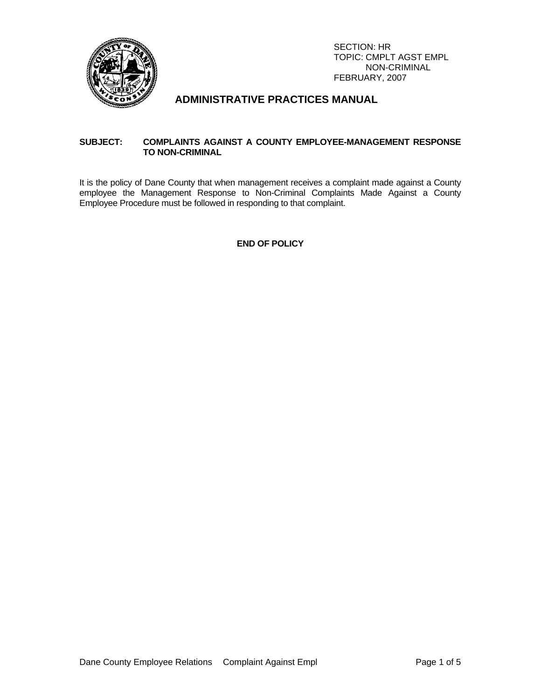

# **ADMINISTRATIVE PRACTICES MANUAL**

## **SUBJECT: COMPLAINTS AGAINST A COUNTY EMPLOYEE-MANAGEMENT RESPONSE TO NON-CRIMINAL**

It is the policy of Dane County that when management receives a complaint made against a County employee the Management Response to Non-Criminal Complaints Made Against a County Employee Procedure must be followed in responding to that complaint.

## **END OF POLICY**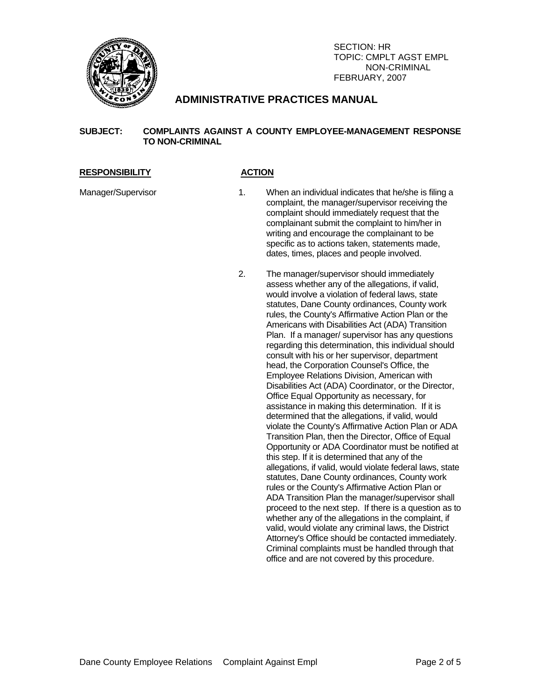

# **ADMINISTRATIVE PRACTICES MANUAL**

## **SUBJECT: COMPLAINTS AGAINST A COUNTY EMPLOYEE-MANAGEMENT RESPONSE TO NON-CRIMINAL**

### RESPONSIBILITY ACTION

- Manager/Supervisor 1. When an individual indicates that he/she is filing a complaint, the manager/supervisor receiving the complaint should immediately request that the complainant submit the complaint to him/her in writing and encourage the complainant to be specific as to actions taken, statements made, dates, times, places and people involved.
	- 2. The manager/supervisor should immediately assess whether any of the allegations, if valid, would involve a violation of federal laws, state statutes, Dane County ordinances, County work rules, the County's Affirmative Action Plan or the Americans with Disabilities Act (ADA) Transition Plan. If a manager/ supervisor has any questions regarding this determination, this individual should consult with his or her supervisor, department head, the Corporation Counsel's Office, the Employee Relations Division, American with Disabilities Act (ADA) Coordinator, or the Director, Office Equal Opportunity as necessary, for assistance in making this determination. If it is determined that the allegations, if valid, would violate the County's Affirmative Action Plan or ADA Transition Plan, then the Director, Office of Equal Opportunity or ADA Coordinator must be notified at this step. If it is determined that any of the allegations, if valid, would violate federal laws, state statutes, Dane County ordinances, County work rules or the County's Affirmative Action Plan or ADA Transition Plan the manager/supervisor shall proceed to the next step. If there is a question as to whether any of the allegations in the complaint, if valid, would violate any criminal laws, the District Attorney's Office should be contacted immediately. Criminal complaints must be handled through that office and are not covered by this procedure.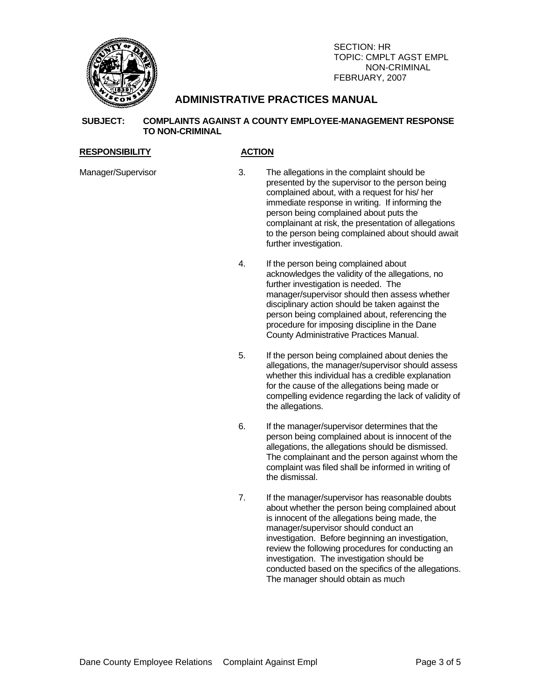

# **ADMINISTRATIVE PRACTICES MANUAL**

### **SUBJECT: COMPLAINTS AGAINST A COUNTY EMPLOYEE-MANAGEMENT RESPONSE TO NON-CRIMINAL**

### RESPONSIBILITY ACTION

- Manager/Supervisor 3. The allegations in the complaint should be presented by the supervisor to the person being complained about, with a request for his/ her immediate response in writing. If informing the person being complained about puts the complainant at risk, the presentation of allegations to the person being complained about should await further investigation.
	- 4. If the person being complained about acknowledges the validity of the allegations, no further investigation is needed. The manager/supervisor should then assess whether disciplinary action should be taken against the person being complained about, referencing the procedure for imposing discipline in the Dane County Administrative Practices Manual.
	- 5. If the person being complained about denies the allegations, the manager/supervisor should assess whether this individual has a credible explanation for the cause of the allegations being made or compelling evidence regarding the lack of validity of the allegations.
	- 6. If the manager/supervisor determines that the person being complained about is innocent of the allegations, the allegations should be dismissed. The complainant and the person against whom the complaint was filed shall be informed in writing of the dismissal.
	- 7. If the manager/supervisor has reasonable doubts about whether the person being complained about is innocent of the allegations being made, the manager/supervisor should conduct an investigation. Before beginning an investigation, review the following procedures for conducting an investigation. The investigation should be conducted based on the specifics of the allegations. The manager should obtain as much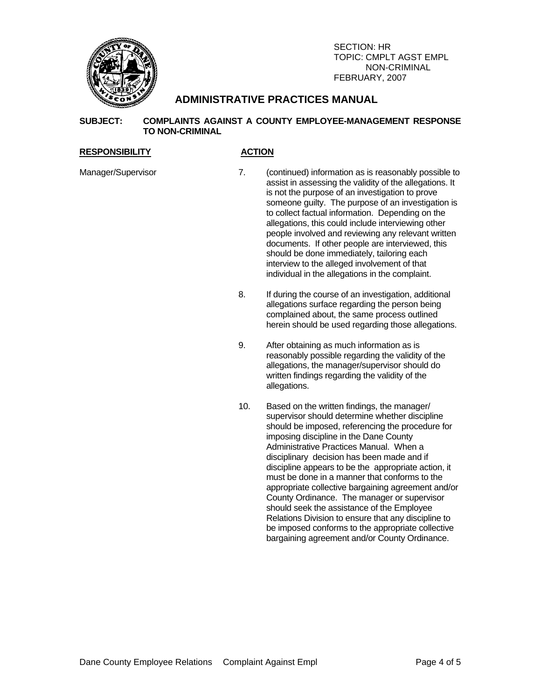

# **ADMINISTRATIVE PRACTICES MANUAL**

## **SUBJECT: COMPLAINTS AGAINST A COUNTY EMPLOYEE-MANAGEMENT RESPONSE TO NON-CRIMINAL**

## RESPONSIBILITY ACTION

- Manager/Supervisor 7. (continued) information as is reasonably possible to assist in assessing the validity of the allegations. It is not the purpose of an investigation to prove someone guilty. The purpose of an investigation is to collect factual information. Depending on the allegations, this could include interviewing other people involved and reviewing any relevant written documents. If other people are interviewed, this should be done immediately, tailoring each interview to the alleged involvement of that individual in the allegations in the complaint.
	- 8. If during the course of an investigation, additional allegations surface regarding the person being complained about, the same process outlined herein should be used regarding those allegations.
	- 9. After obtaining as much information as is reasonably possible regarding the validity of the allegations, the manager/supervisor should do written findings regarding the validity of the allegations.
	- 10. Based on the written findings, the manager/ supervisor should determine whether discipline should be imposed, referencing the procedure for imposing discipline in the Dane County Administrative Practices Manual. When a disciplinary decision has been made and if discipline appears to be the appropriate action, it must be done in a manner that conforms to the appropriate collective bargaining agreement and/or County Ordinance. The manager or supervisor should seek the assistance of the Employee Relations Division to ensure that any discipline to be imposed conforms to the appropriate collective bargaining agreement and/or County Ordinance.